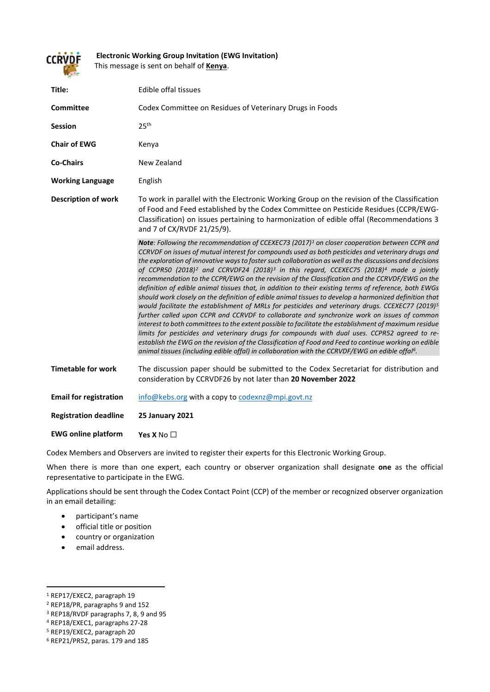

**Electronic Working Group Invitation (EWG Invitation)** This message is sent on behalf of **Kenya**.

| Title:                        | Edible offal tissues                                                                                                                                                                                                                                                                                                                                                                                                                                                                                                                                                                                                                                                                                                                                                                                                                                                                                                                                                                                                                                                                                                                                                                                                                                                                                                                                                                                                             |
|-------------------------------|----------------------------------------------------------------------------------------------------------------------------------------------------------------------------------------------------------------------------------------------------------------------------------------------------------------------------------------------------------------------------------------------------------------------------------------------------------------------------------------------------------------------------------------------------------------------------------------------------------------------------------------------------------------------------------------------------------------------------------------------------------------------------------------------------------------------------------------------------------------------------------------------------------------------------------------------------------------------------------------------------------------------------------------------------------------------------------------------------------------------------------------------------------------------------------------------------------------------------------------------------------------------------------------------------------------------------------------------------------------------------------------------------------------------------------|
| <b>Committee</b>              | Codex Committee on Residues of Veterinary Drugs in Foods                                                                                                                                                                                                                                                                                                                                                                                                                                                                                                                                                                                                                                                                                                                                                                                                                                                                                                                                                                                                                                                                                                                                                                                                                                                                                                                                                                         |
| <b>Session</b>                | 25 <sup>th</sup>                                                                                                                                                                                                                                                                                                                                                                                                                                                                                                                                                                                                                                                                                                                                                                                                                                                                                                                                                                                                                                                                                                                                                                                                                                                                                                                                                                                                                 |
| <b>Chair of EWG</b>           | Kenya                                                                                                                                                                                                                                                                                                                                                                                                                                                                                                                                                                                                                                                                                                                                                                                                                                                                                                                                                                                                                                                                                                                                                                                                                                                                                                                                                                                                                            |
| <b>Co-Chairs</b>              | New Zealand                                                                                                                                                                                                                                                                                                                                                                                                                                                                                                                                                                                                                                                                                                                                                                                                                                                                                                                                                                                                                                                                                                                                                                                                                                                                                                                                                                                                                      |
| <b>Working Language</b>       | English                                                                                                                                                                                                                                                                                                                                                                                                                                                                                                                                                                                                                                                                                                                                                                                                                                                                                                                                                                                                                                                                                                                                                                                                                                                                                                                                                                                                                          |
| <b>Description of work</b>    | To work in parallel with the Electronic Working Group on the revision of the Classification<br>of Food and Feed established by the Codex Committee on Pesticide Residues (CCPR/EWG-<br>Classification) on issues pertaining to harmonization of edible offal (Recommendations 3<br>and 7 of CX/RVDF 21/25/9).                                                                                                                                                                                                                                                                                                                                                                                                                                                                                                                                                                                                                                                                                                                                                                                                                                                                                                                                                                                                                                                                                                                    |
|                               | Note: Following the recommendation of CCEXEC73 (2017) <sup>1</sup> on closer cooperation between CCPR and<br>CCRVDF on issues of mutual interest for compounds used as both pesticides and veterinary drugs and<br>the exploration of innovative ways to foster such collaboration as well as the discussions and decisions<br>of CCPR50 (2018) <sup>2</sup> and CCRVDF24 (2018) <sup>3</sup> in this regard, CCEXEC75 (2018) <sup>4</sup> made a jointly<br>recommendation to the CCPR/EWG on the revision of the Classification and the CCRVDF/EWG on the<br>definition of edible animal tissues that, in addition to their existing terms of reference, both EWGs<br>should work closely on the definition of edible animal tissues to develop a harmonized definition that<br>would facilitate the establishment of MRLs for pesticides and veterinary drugs. CCEXEC77 (2019) <sup>5</sup><br>further called upon CCPR and CCRVDF to collaborate and synchronize work on issues of common<br>interest to both committees to the extent possible to facilitate the establishment of maximum residue<br>limits for pesticides and veterinary drugs for compounds with dual uses. CCPR52 agreed to re-<br>establish the EWG on the revision of the Classification of Food and Feed to continue working on edible<br>animal tissues (including edible offal) in collaboration with the CCRVDF/EWG on edible offal <sup>6</sup> . |
| <b>Timetable for work</b>     | The discussion paper should be submitted to the Codex Secretariat for distribution and<br>consideration by CCRVDF26 by not later than 20 November 2022                                                                                                                                                                                                                                                                                                                                                                                                                                                                                                                                                                                                                                                                                                                                                                                                                                                                                                                                                                                                                                                                                                                                                                                                                                                                           |
| <b>Email for registration</b> | info@kebs.org with a copy to codexnz@mpi.govt.nz                                                                                                                                                                                                                                                                                                                                                                                                                                                                                                                                                                                                                                                                                                                                                                                                                                                                                                                                                                                                                                                                                                                                                                                                                                                                                                                                                                                 |
| <b>Registration deadline</b>  | <b>25 January 2021</b>                                                                                                                                                                                                                                                                                                                                                                                                                                                                                                                                                                                                                                                                                                                                                                                                                                                                                                                                                                                                                                                                                                                                                                                                                                                                                                                                                                                                           |
| <b>EWG online platform</b>    | Yes X No $\Box$                                                                                                                                                                                                                                                                                                                                                                                                                                                                                                                                                                                                                                                                                                                                                                                                                                                                                                                                                                                                                                                                                                                                                                                                                                                                                                                                                                                                                  |

Codex Members and Observers are invited to register their experts for this Electronic Working Group.

When there is more than one expert, each country or observer organization shall designate **one** as the official representative to participate in the EWG.

Applications should be sent through the Codex Contact Point (CCP) of the member or recognized observer organization in an email detailing:

- participant's name
- official title or position
- country or organization
- email address.

<span id="page-0-0"></span> <sup>1</sup> REP17/EXEC2, paragraph 19

<span id="page-0-1"></span><sup>2</sup> REP18/PR, paragraphs 9 and 152

<span id="page-0-2"></span><sup>3</sup> REP18/RVDF paragraphs 7, 8, 9 and 95

<span id="page-0-3"></span><sup>4</sup> REP18/EXEC1, paragraphs 27-28

<span id="page-0-4"></span><sup>5</sup> REP19/EXEC2, paragraph 20

<span id="page-0-5"></span><sup>6</sup> REP21/PR52, paras. 179 and 185